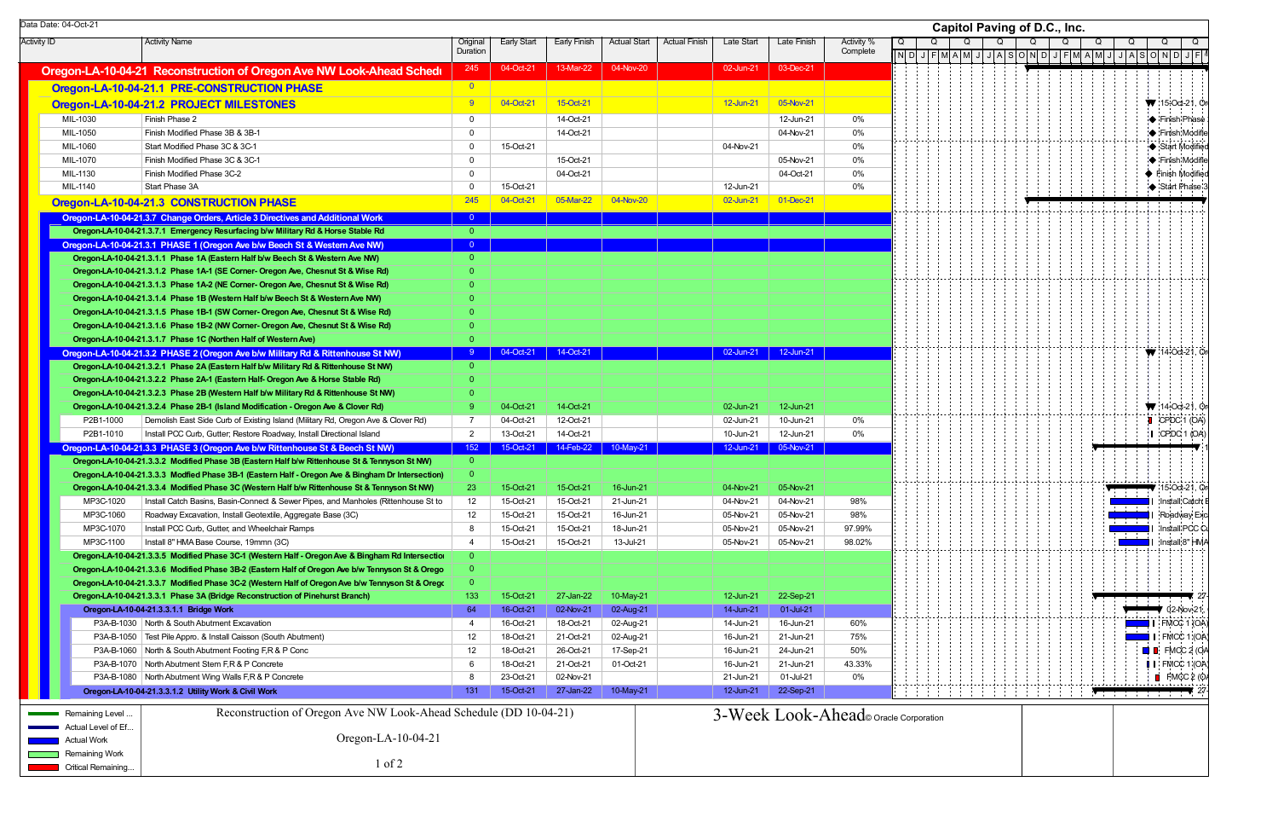| Data Date: 04-Oct-21  |                                                                                                   |                     |                    |                       |                     |                      |                   |             |                                      | Capitol Paving of D.C., Inc. |   |  |  |   |   |   |                                                                                                                                                                                                                                                                                                                                                                                                                                                                                                                                                                                                     |                                                |
|-----------------------|---------------------------------------------------------------------------------------------------|---------------------|--------------------|-----------------------|---------------------|----------------------|-------------------|-------------|--------------------------------------|------------------------------|---|--|--|---|---|---|-----------------------------------------------------------------------------------------------------------------------------------------------------------------------------------------------------------------------------------------------------------------------------------------------------------------------------------------------------------------------------------------------------------------------------------------------------------------------------------------------------------------------------------------------------------------------------------------------------|------------------------------------------------|
| <b>Activity ID</b>    | <b>Activity Name</b>                                                                              | Origina<br>Duration | <b>Early Start</b> | <b>Early Finish</b>   | <b>Actual Start</b> | <b>Actual Finish</b> | <b>Late Start</b> | Late Finish | Activity %<br>Complete               | Q                            | Q |  |  | Q | Q | Q | Q                                                                                                                                                                                                                                                                                                                                                                                                                                                                                                                                                                                                   | Q                                              |
|                       |                                                                                                   | 245                 | 04-Oct-21          | 13-Mar-22             | 04-Nov-20           |                      | 02-Jun-21         | 03-Dec-21   |                                      |                              |   |  |  |   |   |   | $\boxed{\color{red}N\color{black}\text{D}\color{black}\text{D}\color{black}\text{D}\color{black}\text{D}\color{black}\text{F}\color{black}\text{M}\color{black}\text{N}\color{black}\text{N}\color{black}\text{D}\color{black}\text{D}\color{black}\text{D}\color{black}\text{D}\color{black}\text{D}\color{black}\text{N}\color{black}\text{D}\color{black}\text{D}\color{black}\text{D}\color{black}\text{D}\color{black}\text{D}\color{black}\text{D}\color{black}\text{D}\color{black}\text{D}\color{black}\text{D}\color{black}\text{D}\color{black}\text{D}\color{black}\text{D}\color{black$ |                                                |
|                       | Oregon-LA-10-04-21 Reconstruction of Oregon Ave NW Look-Ahead Schedu                              | $\overline{0}$      |                    |                       |                     |                      |                   |             |                                      |                              |   |  |  |   |   |   |                                                                                                                                                                                                                                                                                                                                                                                                                                                                                                                                                                                                     |                                                |
|                       | Oregon-LA-10-04-21.1 PRE-CONSTRUCTION PHASE                                                       |                     |                    |                       |                     |                      |                   |             |                                      |                              |   |  |  |   |   |   |                                                                                                                                                                                                                                                                                                                                                                                                                                                                                                                                                                                                     |                                                |
|                       | Oregon-LA-10-04-21.2 PROJECT MILESTONES                                                           | $9^{\circ}$         | 04-Oct-21          | 15-Oct-21             |                     |                      | 12-Jun-21         | 05-Nov-21   |                                      |                              |   |  |  |   |   |   |                                                                                                                                                                                                                                                                                                                                                                                                                                                                                                                                                                                                     | $\blacktriangledown$ : 15-Oct-21, $\heartsuit$ |
| MIL-1030              | Finish Phase 2                                                                                    | $\overline{0}$      |                    | 14-Oct-21             |                     |                      |                   | 12-Jun-21   | $0\%$                                |                              |   |  |  |   |   |   |                                                                                                                                                                                                                                                                                                                                                                                                                                                                                                                                                                                                     | <b>Einish Phase</b>                            |
| MIL-1050              | Finish Modified Phase 3B & 3B-1                                                                   | $\overline{0}$      |                    | 14-Oct-21             |                     |                      |                   | 04-Nov-21   | $0\%$                                |                              |   |  |  |   |   |   |                                                                                                                                                                                                                                                                                                                                                                                                                                                                                                                                                                                                     | :I◆ :Finish Modifie                            |
| MIL-1060              | Start Modified Phase 3C & 3C-1                                                                    | $\mathbf 0$         | 15-Oct-21          |                       |                     |                      | 04-Nov-21         |             | $0\%$                                |                              |   |  |  |   |   |   |                                                                                                                                                                                                                                                                                                                                                                                                                                                                                                                                                                                                     | Start Modified                                 |
| MIL-1070              | Finish Modified Phase 3C & 3C-1                                                                   | $\mathbf 0$         |                    | 15-Oct-21             |                     |                      |                   | 05-Nov-21   | 0%                                   |                              |   |  |  |   |   |   |                                                                                                                                                                                                                                                                                                                                                                                                                                                                                                                                                                                                     | <b>A</b> Finish Modifie                        |
| MIL-1130              | Finish Modified Phase 3C-2                                                                        | $\mathbf 0$         |                    | 04-Oct-21             |                     |                      |                   | 04-Oct-21   | 0%                                   |                              |   |  |  |   |   |   |                                                                                                                                                                                                                                                                                                                                                                                                                                                                                                                                                                                                     | ♦ Finish Modified                              |
| MIL-1140              | Start Phase 3A                                                                                    | $\mathbf 0$         | 15-Oct-21          |                       |                     |                      | 12-Jun-21         |             | 0%                                   |                              |   |  |  |   |   |   |                                                                                                                                                                                                                                                                                                                                                                                                                                                                                                                                                                                                     | Start Phase                                    |
|                       | Oregon-LA-10-04-21.3 CONSTRUCTION PHASE                                                           | 245                 | 04-Oct-21          | 05-Mar-22             | 04-Nov-20           |                      | 02-Jun-21         | 01-Dec-21   |                                      |                              |   |  |  |   |   |   |                                                                                                                                                                                                                                                                                                                                                                                                                                                                                                                                                                                                     |                                                |
|                       | Oregon-LA-10-04-21.3.7 Change Orders, Article 3 Directives and Additional Work                    | $\overline{0}$      |                    |                       |                     |                      |                   |             |                                      |                              |   |  |  |   |   |   |                                                                                                                                                                                                                                                                                                                                                                                                                                                                                                                                                                                                     |                                                |
|                       | Oregon-LA-10-04-21.3.7.1 Emergency Resurfacing b/w Military Rd & Horse Stable Rd                  | $\overline{0}$      |                    |                       |                     |                      |                   |             |                                      |                              |   |  |  |   |   |   |                                                                                                                                                                                                                                                                                                                                                                                                                                                                                                                                                                                                     |                                                |
|                       | Oregon-LA-10-04-21.3.1 PHASE 1 (Oregon Ave b/w Beech St & Western Ave NW)                         | $\Omega$            |                    |                       |                     |                      |                   |             |                                      |                              |   |  |  |   |   |   |                                                                                                                                                                                                                                                                                                                                                                                                                                                                                                                                                                                                     |                                                |
|                       | Oregon-LA-10-04-21.3.1.1 Phase 1A (Eastern Half b/w Beech St & Western Ave NW)                    | $\Omega$            |                    |                       |                     |                      |                   |             |                                      |                              |   |  |  |   |   |   |                                                                                                                                                                                                                                                                                                                                                                                                                                                                                                                                                                                                     |                                                |
|                       | Oregon-LA-10-04-21.3.1.2 Phase 1A-1 (SE Corner- Oregon Ave, Chesnut St & Wise Rd)                 | $\Omega$            |                    |                       |                     |                      |                   |             |                                      |                              |   |  |  |   |   |   |                                                                                                                                                                                                                                                                                                                                                                                                                                                                                                                                                                                                     |                                                |
|                       | Oregon-LA-10-04-21.3.1.3 Phase 1A-2 (NE Corner- Oregon Ave, Chesnut St & Wise Rd)                 |                     |                    |                       |                     |                      |                   |             |                                      |                              |   |  |  |   |   |   |                                                                                                                                                                                                                                                                                                                                                                                                                                                                                                                                                                                                     |                                                |
|                       | Oregon-LA-10-04-21.3.1.4 Phase 1B (Western Half b/w Beech St & Western Ave NW)                    |                     |                    |                       |                     |                      |                   |             |                                      |                              |   |  |  |   |   |   |                                                                                                                                                                                                                                                                                                                                                                                                                                                                                                                                                                                                     |                                                |
|                       | Oregon-LA-10-04-21.3.1.5 Phase 1B-1 (SW Corner- Oregon Ave, Chesnut St & Wise Rd)                 |                     |                    |                       |                     |                      |                   |             |                                      |                              |   |  |  |   |   |   |                                                                                                                                                                                                                                                                                                                                                                                                                                                                                                                                                                                                     |                                                |
|                       | Oregon-LA-10-04-21.3.1.6 Phase 1B-2 (NW Corner- Oregon Ave, Chesnut St & Wise Rd)                 |                     |                    |                       |                     |                      |                   |             |                                      |                              |   |  |  |   |   |   |                                                                                                                                                                                                                                                                                                                                                                                                                                                                                                                                                                                                     |                                                |
|                       | Oregon-LA-10-04-21.3.1.7 Phase 1C (Northen Half of Western Ave)                                   | $\overline{0}$      |                    |                       |                     |                      |                   |             |                                      |                              |   |  |  |   |   |   |                                                                                                                                                                                                                                                                                                                                                                                                                                                                                                                                                                                                     |                                                |
|                       | Oregon-LA-10-04-21.3.2 PHASE 2 (Oregon Ave b/w Military Rd & Rittenhouse St NW)                   |                     |                    | 04-Oct-21   14-Oct-21 |                     |                      | 02-Jun-21         | 12-Jun-21   |                                      |                              |   |  |  |   |   |   |                                                                                                                                                                                                                                                                                                                                                                                                                                                                                                                                                                                                     | $W = 14-Oct-21$ . O                            |
|                       | Oregon-LA-10-04-21.3.2.1 Phase 2A (Eastern Half b/w Military Rd & Rittenhouse St NW)              | $\overline{0}$      |                    |                       |                     |                      |                   |             |                                      |                              |   |  |  |   |   |   |                                                                                                                                                                                                                                                                                                                                                                                                                                                                                                                                                                                                     |                                                |
|                       | Oregon-LA-10-04-21.3.2.2 Phase 2A-1 (Eastern Half- Oregon Ave & Horse Stable Rd)                  | $\Omega$            |                    |                       |                     |                      |                   |             |                                      |                              |   |  |  |   |   |   |                                                                                                                                                                                                                                                                                                                                                                                                                                                                                                                                                                                                     |                                                |
|                       | Oregon-LA-10-04-21.3.2.3 Phase 2B (Western Half b/w Military Rd & Rittenhouse St NW)              | $\Omega$            |                    |                       |                     |                      |                   |             |                                      |                              |   |  |  |   |   |   |                                                                                                                                                                                                                                                                                                                                                                                                                                                                                                                                                                                                     |                                                |
|                       | Oregon-LA-10-04-21.3.2.4 Phase 2B-1 (Island Modification - Oregon Ave & Clover Rd)                | 9                   | 04-Oct-21          | 14-Oct-21             |                     |                      | 02-Jun-21         | 12-Jun-21   |                                      |                              |   |  |  |   |   |   |                                                                                                                                                                                                                                                                                                                                                                                                                                                                                                                                                                                                     | $\blacktriangleright$ 14-Oct-21, Or            |
| P2B1-1000             | Demolish East Side Curb of Existing Island (Military Rd, Oregon Ave & Clover Rd)                  | 7                   | 04-Oct-21          | 12-Oct-21             |                     |                      | 02-Jun-21         | 10-Jun-21   | 0%                                   |                              |   |  |  |   |   |   |                                                                                                                                                                                                                                                                                                                                                                                                                                                                                                                                                                                                     | $\blacksquare$ CPDC 1 (OA)                     |
| P2B1-1010             | Install PCC Curb, Gutter; Restore Roadway, Install Directional Island                             | $\overline{2}$      | 13-Oct-21          | 14-Oct-21             |                     |                      | 10-Jun-21         | 12-Jun-21   | 0%                                   |                              |   |  |  |   |   |   |                                                                                                                                                                                                                                                                                                                                                                                                                                                                                                                                                                                                     | $\vert$ CPDC 1 (OA)                            |
|                       | Oregon-LA-10-04-21.3.3 PHASE 3 (Oregon Ave b/w Rittenhouse St & Beech St NW)                      | $152 -$             | 15-Oct-21          | 14-Feb-22             | 10-May-21           |                      | 12-Jun-21         | 05-Nov-21   |                                      |                              |   |  |  |   |   |   |                                                                                                                                                                                                                                                                                                                                                                                                                                                                                                                                                                                                     |                                                |
|                       | Oregon-LA-10-04-21.3.3.2 Modified Phase 3B (Eastern Half b/w Rittenhouse St & Tennyson St NW)     | $\overline{0}$      |                    |                       |                     |                      |                   |             |                                      |                              |   |  |  |   |   |   |                                                                                                                                                                                                                                                                                                                                                                                                                                                                                                                                                                                                     |                                                |
|                       | Oregon-LA-10-04-21.3.3.3 Modfied Phase 3B-1 (Eastern Half - Oregon Ave & Bingham Dr Intersection) | $\Omega$            |                    |                       |                     |                      |                   |             |                                      |                              |   |  |  |   |   |   |                                                                                                                                                                                                                                                                                                                                                                                                                                                                                                                                                                                                     |                                                |
|                       | Oregon-LA-10-04-21.3.3.4 Modified Phase 3C (Western Half b/w Rittenhouse St & Tennyson St NW)     | 23                  | 15-Oct-21          | 15-Oct-21             | 16-Jun-21           |                      | 04-Nov-21         | 05-Nov-21   |                                      |                              |   |  |  |   |   |   |                                                                                                                                                                                                                                                                                                                                                                                                                                                                                                                                                                                                     | 15-Oot-21, Or                                  |
| MP3C-1020             | Install Catch Basins, Basin-Connect & Sewer Pipes, and Manholes (Rittenhouse St to                | 12                  | 15-Oct-21          | 15-Oct-21             | 21-Jun-21           |                      | 04-Nov-21         | 04-Nov-21   | 98%                                  |                              |   |  |  |   |   |   |                                                                                                                                                                                                                                                                                                                                                                                                                                                                                                                                                                                                     | Install Catch                                  |
| MP3C-1060             | Roadway Excavation, Install Geotextile, Aggregate Base (3C)                                       | 12                  | 15-Oct-21          | 15-Oct-21             | 16-Jun-21           |                      | 05-Nov-21         | 05-Nov-21   | 98%                                  |                              |   |  |  |   |   |   |                                                                                                                                                                                                                                                                                                                                                                                                                                                                                                                                                                                                     | Roadway Exc                                    |
| MP3C-1070             | Install PCC Curb, Gutter, and Wheelchair Ramps                                                    | 8                   | 15-Oct-21          | 15-Oct-21             | 18-Jun-21           |                      | 05-Nov-21         | 05-Nov-21   | 97.99%                               |                              |   |  |  |   |   |   |                                                                                                                                                                                                                                                                                                                                                                                                                                                                                                                                                                                                     | Install PCC Cu                                 |
| MP3C-1100             | Install 8" HMA Base Course, 19mmn (3C)                                                            | -4                  | 15-Oct-21          | 15-Oct-21             | 13-Jul-21           |                      | 05-Nov-21         | 05-Nov-21   | 98.02%                               |                              |   |  |  |   |   |   |                                                                                                                                                                                                                                                                                                                                                                                                                                                                                                                                                                                                     | Install 8" HMA                                 |
|                       | Oregon-LA-10-04-21.3.3.5 Modified Phase 3C-1 (Western Half - Oregon Ave & Bingham Rd Intersection | $\overline{0}$      |                    |                       |                     |                      |                   |             |                                      |                              |   |  |  |   |   |   |                                                                                                                                                                                                                                                                                                                                                                                                                                                                                                                                                                                                     |                                                |
|                       | Oregon-LA-10-04-21.3.3.6 Modified Phase 3B-2 (Eastern Half of Oregon Ave b/w Tennyson St & Orego  | $\mathbf 0$         |                    |                       |                     |                      |                   |             |                                      |                              |   |  |  |   |   |   |                                                                                                                                                                                                                                                                                                                                                                                                                                                                                                                                                                                                     |                                                |
|                       | Oregon-LA-10-04-21.3.3.7 Modified Phase 3C-2 (Western Half of Oregon Ave b/w Tennyson St & Orego  | $\overline{0}$      |                    |                       |                     |                      |                   |             |                                      |                              |   |  |  |   |   |   |                                                                                                                                                                                                                                                                                                                                                                                                                                                                                                                                                                                                     |                                                |
|                       | Oregon-LA-10-04-21.3.3.1 Phase 3A (Bridge Reconstruction of Pinehurst Branch)                     | 133                 | 15-Oct-21          | 27-Jan-22             | 10-May-21           |                      | 12-Jun-21         | 22-Sep-21   |                                      |                              |   |  |  |   |   |   |                                                                                                                                                                                                                                                                                                                                                                                                                                                                                                                                                                                                     |                                                |
|                       | Oregon-LA-10-04-21.3.3.1.1 Bridge Work                                                            | 64                  | 16-Oct-21          | 02-Nov-21             | 02-Aug-21           |                      | 14-Jun-21         | 01-Jul-21   |                                      |                              |   |  |  |   |   |   |                                                                                                                                                                                                                                                                                                                                                                                                                                                                                                                                                                                                     | $\blacktriangledown$ 02-Nov-21.                |
|                       | P3A-B-1030   North & South Abutment Excavation                                                    | -4                  | 16-Oct-21          | 18-Oct-21             | 02-Aug-21           |                      | 14-Jun-21         | 16-Jun-21   | 60%                                  |                              |   |  |  |   |   |   |                                                                                                                                                                                                                                                                                                                                                                                                                                                                                                                                                                                                     | FMCC 1 (OA)                                    |
|                       | P3A-B-1050   Test Pile Appro. & Install Caisson (South Abutment)                                  | 12                  | 18-Oct-21          | 21-Oct-21             | 02-Aug-21           |                      | 16-Jun-21         | 21-Jun-21   | 75%                                  |                              |   |  |  |   |   |   |                                                                                                                                                                                                                                                                                                                                                                                                                                                                                                                                                                                                     | FMCC 1 (OA)                                    |
|                       | P3A-B-1060   North & South Abutment Footing F,R & P Conc                                          | 12                  | 18-Oct-21          | 26-Oct-21             | 17-Sep-21           |                      | 16-Jun-21         | 24-Jun-21   | 50%                                  |                              |   |  |  |   |   |   |                                                                                                                                                                                                                                                                                                                                                                                                                                                                                                                                                                                                     | $\Box$ FMCC 2 (OA                              |
|                       | P3A-B-1070 North Abutment Stem F,R & P Concrete                                                   | 6                   | 18-Oct-21          | 21-Oct-21             | 01-Oct-21           |                      | 16-Jun-21         | 21-Jun-21   | 43.33%                               |                              |   |  |  |   |   |   |                                                                                                                                                                                                                                                                                                                                                                                                                                                                                                                                                                                                     | I FMCC 1 (OA)                                  |
|                       | P3A-B-1080   North Abutment Wing Walls F,R & P Concrete                                           | 8                   | 23-Oct-21          | 02-Nov-21             |                     |                      | 21-Jun-21         | 01-Jul-21   | 0%                                   |                              |   |  |  |   |   |   |                                                                                                                                                                                                                                                                                                                                                                                                                                                                                                                                                                                                     | $\blacksquare$ FMCC 2 (OA                      |
|                       | Oregon-LA-10-04-21.3.3.1.2 Utility Work & Civil Work                                              | 131                 | 15-Oct-21          | 27-Jan-22             | 10-May-21           |                      | 12-Jun-21         | 22-Sep-21   |                                      |                              |   |  |  |   |   |   |                                                                                                                                                                                                                                                                                                                                                                                                                                                                                                                                                                                                     |                                                |
| Remaining Level       | Reconstruction of Oregon Ave NW Look-Ahead Schedule (DD 10-04-21)                                 |                     |                    |                       |                     |                      |                   |             | 3-Week Look-Ahead oracle Corporation |                              |   |  |  |   |   |   |                                                                                                                                                                                                                                                                                                                                                                                                                                                                                                                                                                                                     |                                                |
| Actual Level of Ef.   |                                                                                                   |                     |                    |                       |                     |                      |                   |             |                                      |                              |   |  |  |   |   |   |                                                                                                                                                                                                                                                                                                                                                                                                                                                                                                                                                                                                     |                                                |
| Actual Work           | Oregon-LA- $10-04-21$                                                                             |                     |                    |                       |                     |                      |                   |             |                                      |                              |   |  |  |   |   |   |                                                                                                                                                                                                                                                                                                                                                                                                                                                                                                                                                                                                     |                                                |
| <b>Remaining Work</b> |                                                                                                   |                     |                    |                       |                     |                      |                   |             |                                      |                              |   |  |  |   |   |   |                                                                                                                                                                                                                                                                                                                                                                                                                                                                                                                                                                                                     |                                                |
| Critical Remaining.   | $1$ of $2$                                                                                        |                     |                    |                       |                     |                      |                   |             |                                      |                              |   |  |  |   |   |   |                                                                                                                                                                                                                                                                                                                                                                                                                                                                                                                                                                                                     |                                                |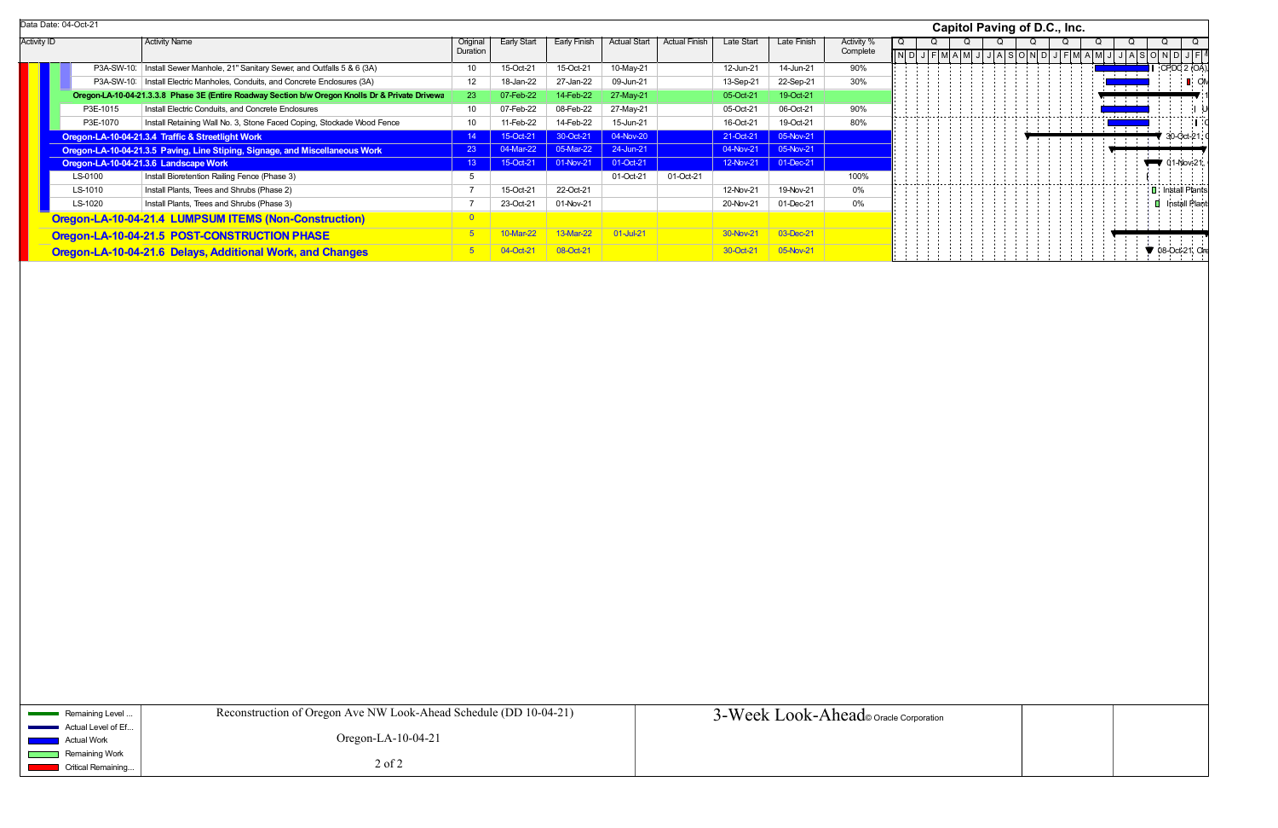|                    |                                                                                   | Data Date: 04-Oct-21 |                                                                                                  |          |                    |              |                     |                      |            |             |            |   |  | Capitol Paving of D.C., Inc. |   |  |
|--------------------|-----------------------------------------------------------------------------------|----------------------|--------------------------------------------------------------------------------------------------|----------|--------------------|--------------|---------------------|----------------------|------------|-------------|------------|---|--|------------------------------|---|--|
| <b>Activity ID</b> |                                                                                   |                      | <b>Activity Name</b>                                                                             | Original | <b>Early Start</b> | Early Finish | <b>Actual Start</b> | <b>Actual Finish</b> | Late Start | Late Finish | Activity % | O |  |                              | Q |  |
|                    |                                                                                   |                      |                                                                                                  | Duration |                    |              |                     |                      |            |             | Complete   |   |  |                              |   |  |
|                    |                                                                                   | P3A-SW-10.           | Install Sewer Manhole, 21" Sanitary Sewer, and Outfalls 5 & 6 (3A)                               | 10       | 15-Oct-21          | 15-Oct-21    | 10-May-21           |                      | 12-Jun-21  | 14-Jun-21   | 90%        |   |  |                              |   |  |
|                    | P3A-SW-10:   Install Electric Manholes, Conduits, and Concrete Enclosures (3A)    |                      |                                                                                                  |          | 18-Jan-22          | 27-Jan-22    | 09-Jun-21           |                      | 13-Sep-21  | 22-Sep-21   | 30%        |   |  |                              |   |  |
|                    |                                                                                   |                      | Oregon-LA-10-04-21.3.3.8 Phase 3E (Entire Roadway Section b/w Oregon Knolls Dr & Private Drivewa | 23       | 07-Feb-22          | 14-Feb-22    | 27-May-21           |                      | 05-Oct-21  | 19-Oct-21   |            |   |  |                              |   |  |
|                    |                                                                                   | P3E-1015             | Install Electric Conduits, and Concrete Enclosures                                               |          | 07-Feb-22          | 08-Feb-22    | 27-May-21           |                      | 05-Oct-21  | 06-Oct-21   | 90%        |   |  |                              |   |  |
|                    | Install Retaining Wall No. 3, Stone Faced Coping, Stockade Wood Fence<br>P3E-1070 |                      |                                                                                                  |          |                    | 14-Feb-22    | 15-Jun-21           |                      | 16-Oct-21  | 19-Oct-21   | 80%        |   |  |                              |   |  |
|                    |                                                                                   |                      | Oregon-LA-10-04-21.3.4 Traffic & Streetlight Work                                                |          | 15-Oct-21          | 30-Oct-21    | 04-Nov-20           |                      | 21-Oct-21  | 05-Nov-21   |            |   |  |                              |   |  |
|                    | Oregon-LA-10-04-21.3.5 Paving, Line Stiping, Signage, and Miscellaneous Work      |                      |                                                                                                  | 23       | 04-Mar-22          | 05-Mar-22    | 24-Jun-21           |                      | 04-Nov-21  | 05-Nov-21   |            |   |  |                              |   |  |
|                    |                                                                                   |                      | Oregon-LA-10-04-21.3.6 Landscape Work                                                            | 13       | 15-Oct-21          | 01-Nov-21    | 01-Oct-21           |                      | 12-Nov-21  | 01-Dec-21   |            |   |  |                              |   |  |
|                    |                                                                                   | LS-0100              | Install Bioretention Railing Fence (Phase 3)                                                     |          |                    |              | 01-Oct-21           | 01-Oct-21            |            |             | 100%       |   |  |                              |   |  |
|                    |                                                                                   | LS-1010              | Install Plants, Trees and Shrubs (Phase 2)                                                       |          | 15-Oct-21          | 22-Oct-21    |                     |                      | 12-Nov-21  | 19-Nov-21   | 0%         |   |  |                              |   |  |
|                    | LS-1020<br>Install Plants, Trees and Shrubs (Phase 3)                             |                      |                                                                                                  |          | 23-Oct-21          | 01-Nov-21    |                     |                      | 20-Nov-21  | 01-Dec-21   | 0%         |   |  |                              |   |  |
|                    | Oregon-LA-10-04-21.4 LUMPSUM ITEMS (Non-Construction)                             |                      |                                                                                                  |          |                    |              |                     |                      |            |             |            |   |  |                              |   |  |
|                    |                                                                                   |                      | Oregon-LA-10-04-21.5 POST-CONSTRUCTION PHASE                                                     |          | 10-Mar-22          | 13-Mar-22    | 01-Jul-21           |                      | 30-Nov-21  | 03-Dec-21   |            |   |  |                              |   |  |
|                    |                                                                                   |                      | Oregon-LA-10-04-21.6 Delays, Additional Work, and Changes                                        |          | 04-Oct-2           | 08-Oct-21    |                     |                      | 30-Oct-21  | 05-Nov-21   |            |   |  |                              |   |  |

| <b>Capitol Paving of D.C., Inc.</b> |     |             |   |  |  |                     |   |  |   |  |           |   |  |                |  |                |                   |                 |            |    |   |                                                       |                                                   |  |
|-------------------------------------|-----|-------------|---|--|--|---------------------|---|--|---|--|-----------|---|--|----------------|--|----------------|-------------------|-----------------|------------|----|---|-------------------------------------------------------|---------------------------------------------------|--|
| $\overline{\mathsf{Q}}$             |     |             | Q |  |  | Q                   | J |  | Q |  | $JA$ SOND | Q |  | $\overline{Q}$ |  | $\overline{Q}$ |                   | Q               |            |    | Q |                                                       | Q<br>$J$ $F$ <sup><math>\overline{A}</math></sup> |  |
|                                     | N D |             |   |  |  | $J$ $F$ $M$ $A$ $M$ |   |  |   |  |           |   |  |                |  |                |                   |                 |            |    |   | JFMAMJJASOND<br>$\overline{\phantom{a}}$ CPDC 2 (OA). |                                                   |  |
|                                     |     |             |   |  |  |                     |   |  |   |  |           |   |  |                |  |                | $\mathbf{u}$<br>÷ | $\hat{a}$<br>÷. | $\,$<br>÷. |    |   |                                                       | $\blacksquare$ ON                                 |  |
|                                     |     |             |   |  |  |                     |   |  |   |  |           |   |  |                |  |                |                   | ÷               | ÷          |    |   |                                                       | ١I                                                |  |
|                                     |     |             |   |  |  |                     |   |  |   |  |           |   |  |                |  |                |                   | -+--+--+-       |            |    |   |                                                       |                                                   |  |
|                                     |     |             |   |  |  |                     |   |  |   |  |           |   |  |                |  |                | ÷<br>÷            | ÷<br>÷<br>÷     | t          | 1  |   | 30-Oct-21, 0                                          |                                                   |  |
|                                     |     |             |   |  |  |                     |   |  |   |  |           |   |  |                |  |                |                   |                 |            | ł, |   | 01-Nov-21,                                            |                                                   |  |
|                                     |     |             |   |  |  |                     |   |  |   |  |           |   |  |                |  |                |                   |                 |            |    |   |                                                       |                                                   |  |
|                                     |     |             |   |  |  |                     |   |  |   |  |           |   |  |                |  |                |                   |                 |            |    | 0 | I Install Plants<br>Install Plant                     |                                                   |  |
|                                     |     |             |   |  |  |                     |   |  |   |  |           |   |  |                |  |                |                   |                 |            |    |   |                                                       |                                                   |  |
|                                     |     |             |   |  |  |                     |   |  |   |  |           |   |  |                |  |                |                   |                 |            | ì  |   |                                                       |                                                   |  |
|                                     |     |             |   |  |  |                     |   |  |   |  |           |   |  |                |  |                |                   |                 |            |    |   | 08-Oct-21, Ore                                        |                                                   |  |
|                                     |     |             |   |  |  |                     |   |  |   |  |           |   |  |                |  |                |                   |                 |            |    |   |                                                       |                                                   |  |
|                                     |     |             |   |  |  |                     |   |  |   |  |           |   |  |                |  |                |                   |                 |            |    |   |                                                       |                                                   |  |
|                                     |     |             |   |  |  |                     |   |  |   |  |           |   |  |                |  |                |                   |                 |            |    |   |                                                       |                                                   |  |
|                                     |     |             |   |  |  |                     |   |  |   |  |           |   |  |                |  |                |                   |                 |            |    |   |                                                       |                                                   |  |
|                                     |     |             |   |  |  |                     |   |  |   |  |           |   |  |                |  |                |                   |                 |            |    |   |                                                       |                                                   |  |
|                                     |     |             |   |  |  |                     |   |  |   |  |           |   |  |                |  |                |                   |                 |            |    |   |                                                       |                                                   |  |
|                                     |     |             |   |  |  |                     |   |  |   |  |           |   |  |                |  |                |                   |                 |            |    |   |                                                       |                                                   |  |
|                                     |     |             |   |  |  |                     |   |  |   |  |           |   |  |                |  |                |                   |                 |            |    |   |                                                       |                                                   |  |
|                                     |     |             |   |  |  |                     |   |  |   |  |           |   |  |                |  |                |                   |                 |            |    |   |                                                       |                                                   |  |
|                                     |     |             |   |  |  |                     |   |  |   |  |           |   |  |                |  |                |                   |                 |            |    |   |                                                       |                                                   |  |
|                                     |     |             |   |  |  |                     |   |  |   |  |           |   |  |                |  |                |                   |                 |            |    |   |                                                       |                                                   |  |
|                                     |     |             |   |  |  |                     |   |  |   |  |           |   |  |                |  |                |                   |                 |            |    |   |                                                       |                                                   |  |
|                                     |     |             |   |  |  |                     |   |  |   |  |           |   |  |                |  |                |                   |                 |            |    |   |                                                       |                                                   |  |
|                                     |     |             |   |  |  |                     |   |  |   |  |           |   |  |                |  |                |                   |                 |            |    |   |                                                       |                                                   |  |
|                                     |     |             |   |  |  |                     |   |  |   |  |           |   |  |                |  |                |                   |                 |            |    |   |                                                       |                                                   |  |
|                                     |     |             |   |  |  |                     |   |  |   |  |           |   |  |                |  |                |                   |                 |            |    |   |                                                       |                                                   |  |
|                                     |     |             |   |  |  |                     |   |  |   |  |           |   |  |                |  |                |                   |                 |            |    |   |                                                       |                                                   |  |
|                                     |     |             |   |  |  |                     |   |  |   |  |           |   |  |                |  |                |                   |                 |            |    |   |                                                       |                                                   |  |
|                                     |     |             |   |  |  |                     |   |  |   |  |           |   |  |                |  |                |                   |                 |            |    |   |                                                       |                                                   |  |
|                                     |     |             |   |  |  |                     |   |  |   |  |           |   |  |                |  |                |                   |                 |            |    |   |                                                       |                                                   |  |
|                                     |     |             |   |  |  |                     |   |  |   |  |           |   |  |                |  |                |                   |                 |            |    |   |                                                       |                                                   |  |
|                                     |     |             |   |  |  |                     |   |  |   |  |           |   |  |                |  |                |                   |                 |            |    |   |                                                       |                                                   |  |
|                                     |     |             |   |  |  |                     |   |  |   |  |           |   |  |                |  |                |                   |                 |            |    |   |                                                       |                                                   |  |
|                                     |     |             |   |  |  |                     |   |  |   |  |           |   |  |                |  |                |                   |                 |            |    |   |                                                       |                                                   |  |
|                                     |     | Corporation |   |  |  |                     |   |  |   |  |           |   |  |                |  |                |                   |                 |            |    |   |                                                       |                                                   |  |
|                                     |     |             |   |  |  |                     |   |  |   |  |           |   |  |                |  |                |                   |                 |            |    |   |                                                       |                                                   |  |
|                                     |     |             |   |  |  |                     |   |  |   |  |           |   |  |                |  |                |                   |                 |            |    |   |                                                       |                                                   |  |
|                                     |     |             |   |  |  |                     |   |  |   |  |           |   |  |                |  |                |                   |                 |            |    |   |                                                       |                                                   |  |

Data Date: 04-Oct-21

| Remaining Level                                                                                                                                                                                              | Reconstruction of Oregon Ave NW Look-Ahead Schedule (DD 10-04-21) | 3-Week Look-Ahead oracle Corporation |
|--------------------------------------------------------------------------------------------------------------------------------------------------------------------------------------------------------------|-------------------------------------------------------------------|--------------------------------------|
| $\blacksquare$ Actual Level of Ef<br><b>Contract Contract</b><br><b>Actual Work</b><br><b>Contract Contract Contract Contract Contract Contract Contract Contract Contract Contract Contract Contract Co</b> | Oregon-LA- $10-04-21$                                             |                                      |
| Remaining Work<br><b>Service Service</b><br>$\blacksquare$ Critical Remaining<br><b>Service Service</b>                                                                                                      | $2$ of $2$                                                        |                                      |